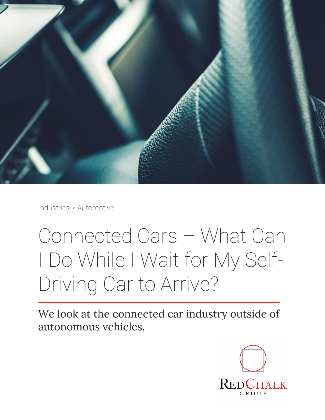

Industries > Automotive

# Connected Cars – What Can I Do While I Wait for My Self-Driving Car to Arrive?

We look at the connected car industry outside of autonomous vehicles.

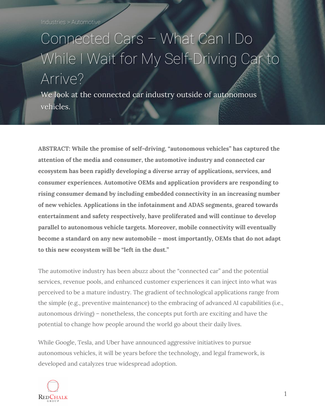Industries > Automotive

## Connected Cars – What Can I Do While I Wait for My Self-Driving Car to Arrive?

We look at the connected car industry outside of autonomous vehicles.

**ABSTRACT: While the promise of self-driving, "autonomous vehicles" has captured the attention of the media and consumer, the automotive industry and connected car ecosystem has been rapidly developing a diverse array of applications, services, and consumer experiences. Automotive OEMs and application providers are responding to rising consumer demand by including embedded connectivity in an increasing number of new vehicles. Applications in the infotainment and ADAS segments, geared towards entertainment and safety respectively, have proliferated and will continue to develop parallel to autonomous vehicle targets. Moreover, mobile connectivity will eventually become a standard on any new automobile – most importantly, OEMs that do not adapt to this new ecosystem will be "left in the dust."**

The automotive industry has been abuzz about the "connected car" and the potential services, revenue pools, and enhanced customer experiences it can inject into what was perceived to be a mature industry. The gradient of technological applications range from the simple (e.g., preventive maintenance) to the embracing of advanced AI capabilities (i.e., autonomous driving) – nonetheless, the concepts put forth are exciting and have the potential to change how people around the world go about their daily lives.

While Google, Tesla, and Uber have announced aggressive initiatives to pursue autonomous vehicles, it will be years before the technology, and legal framework, is developed and catalyzes true widespread adoption.

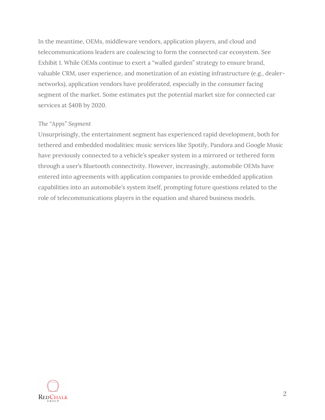In the meantime, OEMs, middleware vendors, application players, and cloud and telecommunications leaders are coalescing to form the connected car ecosystem. See Exhibit 1. While OEMs continue to exert a "walled garden" strategy to ensure brand, valuable CRM, user experience, and monetization of an existing infrastructure (e.g., dealernetworks), application vendors have proliferated, especially in the consumer facing segment of the market. Some estimates put the potential market size for connected car services at \$40B by 2020.

#### *The "Apps" Segment*

Unsurprisingly, the entertainment segment has experienced rapid development, both for tethered and embedded modalities: music services like Spotify, Pandora and Google Music have previously connected to a vehicle's speaker system in a mirrored or tethered form through a user's Bluetooth connectivity. However, increasingly, automobile OEMs have entered into agreements with application companies to provide embedded application capabilities into an automobile's system itself, prompting future questions related to the role of telecommunications players in the equation and shared business models.

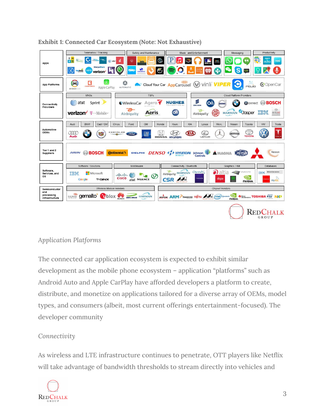| Apps                                    | Telematics / Tracking                                                                                                                                 | Safety and Maintenance |                                                                                                      | Music and Entertainment  | Messaging                      | Productivity                     |
|-----------------------------------------|-------------------------------------------------------------------------------------------------------------------------------------------------------|------------------------|------------------------------------------------------------------------------------------------------|--------------------------|--------------------------------|----------------------------------|
|                                         | EA<br>car<br>$\times$ 11<br>atst                                                                                                                      | ©)<br>$_{\odot}$       |                                                                                                      | inga<br>Titolog          |                                | o,<br>nest<br>echo               |
|                                         |                                                                                                                                                       |                        |                                                                                                      |                          |                                |                                  |
|                                         | <b>SherpaShare</b><br><b>FREV BOOKS</b><br>verizo                                                                                                     |                        |                                                                                                      | ÷                        |                                |                                  |
|                                         |                                                                                                                                                       |                        |                                                                                                      |                          |                                |                                  |
|                                         | e<br>Cloud Your Car AppCarousel<br>vinli <b>VIP</b><br>$\mathbf{C}$<br>CopenCar<br>CARFORCE<br>Apple CarPlay<br>AUTOMATIC<br>androidouto              |                        |                                                                                                      |                          |                                |                                  |
| <b>App Platforms</b>                    |                                                                                                                                                       |                        |                                                                                                      |                          |                                |                                  |
|                                         |                                                                                                                                                       |                        |                                                                                                      |                          |                                |                                  |
| Connectivity<br>Providers               | MNO <sub>S</sub><br><b>TSPs</b>                                                                                                                       |                        |                                                                                                      | Cloud Platform Providers |                                |                                  |
|                                         | at&t<br>Sprint                                                                                                                                        | Agero<br>WirelessCar   | HUGHES                                                                                               | ≶<br>Οň<br>ERICSSON      |                                | <b>Gronnect</b> (C) <b>BOSCH</b> |
|                                         |                                                                                                                                                       |                        |                                                                                                      | e                        |                                | $^{\circledR}$                   |
|                                         | verizon <sup>T</sup> · Mobile                                                                                                                         | Aeris<br>Airbiauitu    | Oň                                                                                                   | Airbiguity               | <b>Jasper</b><br><b>HARMAN</b> | entune'                          |
|                                         |                                                                                                                                                       |                        |                                                                                                      |                          |                                |                                  |
| Automotive<br><b>OEMs</b>               | Cad/GM<br><b>GM</b><br>KIA<br><b>VW</b><br><b>BMW</b><br>Chrys.<br>Honda<br>Hyun.<br>Merc.<br>Nissan<br>Toyota<br>Audi<br>Ford<br>Lexus<br>Tesla<br>: |                        |                                                                                                      |                          |                                |                                  |
|                                         | CHRYSLER<br>丝                                                                                                                                         |                        |                                                                                                      |                          |                                |                                  |
|                                         | GM<br>кıл<br>600<br><b>NISSAN</b><br>Aud<br><b>TOYOT</b>                                                                                              |                        |                                                                                                      |                          |                                |                                  |
|                                         |                                                                                                                                                       |                        |                                                                                                      |                          |                                |                                  |
|                                         |                                                                                                                                                       |                        |                                                                                                      |                          |                                |                                  |
| Tier 1 and 2<br><b>Suppliers</b>        | <b>MAGNE</b><br>DELPHI DENSO 4 NYUNDAI Johnson W<br>Visteon<br><b>BOSCH</b><br><b>Continental</b><br><b>AISIN</b><br><b>A</b> MAGNA                   |                        |                                                                                                      |                          |                                |                                  |
|                                         |                                                                                                                                                       |                        |                                                                                                      |                          |                                |                                  |
| Software,<br>Services, and<br><b>OS</b> | Software / Solutions<br>Middleware                                                                                                                    |                        | Connectivity / Bluetooth<br>Graphics / HMI                                                           |                          | Databases                      |                                  |
|                                         |                                                                                                                                                       |                        | <b>P</b><br><b>IVANTE</b>                                                                            |                          |                                |                                  |
|                                         | Ο<br>Clorino <sup>x</sup><br>TRN<br>Airbiquity HARMAN<br>Microsoft<br>IBM<br>بالبيان                                                                  |                        |                                                                                                      |                          |                                |                                  |
|                                         | <b><i>F</i></b> GNX<br>Google                                                                                                                         | at&t NUANCE            | CSR                                                                                                  | <b>HALES</b><br>digia    | <b>NVIDIA.</b>                 | <b>MySOL</b>                     |
|                                         | Wireless Module Vendors                                                                                                                               |                        | <b>Chipset Vendors</b>                                                                               |                          |                                |                                  |
| Semiconductor<br>and                    |                                                                                                                                                       |                        |                                                                                                      |                          |                                |                                  |
| processing<br>infrastructure            | gemalto<br>SIERRA<br><b>HARMAN</b><br>plox<br>NOVATEL WINELESS<br>HUAWEI                                                                              |                        | BROADCOM<br>freescale FUITSU<br>(intel) Quaccomm<br><b>WEISSINGNISS TOSHIBA 47/</b><br><b>NVIDIA</b> |                          |                                |                                  |
|                                         |                                                                                                                                                       |                        |                                                                                                      |                          |                                |                                  |
|                                         |                                                                                                                                                       |                        |                                                                                                      |                          |                                |                                  |
|                                         |                                                                                                                                                       |                        |                                                                                                      |                          |                                |                                  |
|                                         |                                                                                                                                                       |                        |                                                                                                      |                          |                                | GROUP                            |

#### **Exhibit 1: Connected Car Ecosystem (Note: Not Exhaustive)**

#### *Application Platforms*

The connected car application ecosystem is expected to exhibit similar development as the mobile phone ecosystem – application "platforms" such as Android Auto and Apple CarPlay have afforded developers a platform to create, distribute, and monetize on applications tailored for a diverse array of OEMs, model types, and consumers (albeit, most current offerings entertainment-focused). The developer community

#### *Connectivity*

As wireless and LTE infrastructure continues to penetrate, OTT players like Netflix will take advantage of bandwidth thresholds to stream directly into vehicles and

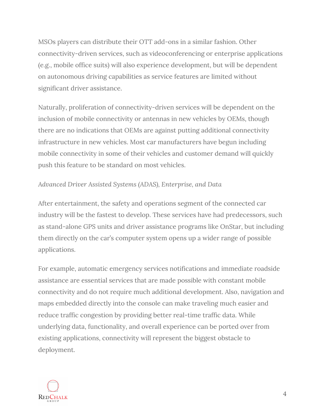MSOs players can distribute their OTT add-ons in a similar fashion. Other connectivity-driven services, such as videoconferencing or enterprise applications (e.g., mobile office suits) will also experience development, but will be dependent on autonomous driving capabilities as service features are limited without significant driver assistance.

Naturally, proliferation of connectivity-driven services will be dependent on the inclusion of mobile connectivity or antennas in new vehicles by OEMs, though there are no indications that OEMs are against putting additional connectivity infrastructure in new vehicles. Most car manufacturers have begun including mobile connectivity in some of their vehicles and customer demand will quickly push this feature to be standard on most vehicles.

#### *Advanced Driver Assisted Systems (ADAS), Enterprise, and Data*

After entertainment, the safety and operations segment of the connected car industry will be the fastest to develop. These services have had predecessors, such as stand-alone GPS units and driver assistance programs like OnStar, but including them directly on the car's computer system opens up a wider range of possible applications.

For example, automatic emergency services notifications and immediate roadside assistance are essential services that are made possible with constant mobile connectivity and do not require much additional development. Also, navigation and maps embedded directly into the console can make traveling much easier and reduce traffic congestion by providing better real-time traffic data. While underlying data, functionality, and overall experience can be ported over from existing applications, connectivity will represent the biggest obstacle to deployment.

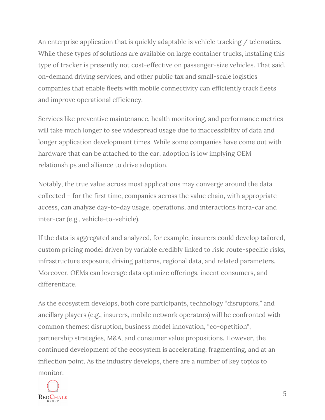An enterprise application that is quickly adaptable is vehicle tracking / telematics. While these types of solutions are available on large container trucks, installing this type of tracker is presently not cost-effective on passenger-size vehicles. That said, on-demand driving services, and other public tax and small-scale logistics companies that enable fleets with mobile connectivity can efficiently track fleets and improve operational efficiency.

Services like preventive maintenance, health monitoring, and performance metrics will take much longer to see widespread usage due to inaccessibility of data and longer application development times. While some companies have come out with hardware that can be attached to the car, adoption is low implying OEM relationships and alliance to drive adoption.

Notably, the true value across most applications may converge around the data collected – for the first time, companies across the value chain, with appropriate access, can analyze day-to-day usage, operations, and interactions intra-car and inter-car (e.g., vehicle-to-vehicle).

If the data is aggregated and analyzed, for example, insurers could develop tailored, custom pricing model driven by variable credibly linked to risk: route-specific risks, infrastructure exposure, driving patterns, regional data, and related parameters. Moreover, OEMs can leverage data optimize offerings, incent consumers, and differentiate.

As the ecosystem develops, both core participants, technology "disruptors," and ancillary players (e.g., insurers, mobile network operators) will be confronted with common themes: disruption, business model innovation, "co-opetition", partnership strategies, M&A, and consumer value propositions. However, the continued development of the ecosystem is accelerating, fragmenting, and at an inflection point. As the industry develops, there are a number of key topics to monitor:

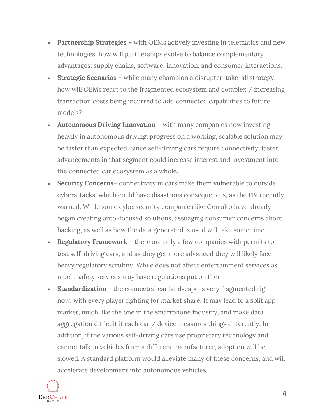- **Partnership Strategies –** with OEMs actively investing in telematics and new technologies, how will partnerships evolve to balance complementary advantages: supply chains, software, innovation, and consumer interactions.
- **Strategic Scenarios –** while many champion a disrupter-take-all strategy, how will OEMs react to the fragmented ecosystem and complex / increasing transaction costs being incurred to add connected capabilities to future models?
- **Autonomous Driving Innovation** with many companies now investing heavily in autonomous driving, progress on a working, scalable solution may be faster than expected. Since self-driving cars require connectivity, faster advancements in that segment could increase interest and investment into the connected car ecosystem as a whole.
- **Security Concerns** connectivity in cars make them vulnerable to outside cyberattacks, which could have disastrous consequences, as the FBI recently warned. While some cybersecurity companies like Gemalto have already began creating auto-focused solutions, assuaging consumer concerns about hacking, as well as how the data generated is used will take some time.
- **Regulatory Framework** there are only a few companies with permits to test self-driving cars, and as they get more advanced they will likely face heavy regulatory scrutiny. While does not affect entertainment services as much, safety services may have regulations put on them
- **Standardization** the connected car landscape is very fragmented right now, with every player fighting for market share. It may lead to a split app market, much like the one in the smartphone industry, and make data aggregation difficult if each car / device measures things differently. In addition, if the various self-driving cars use proprietary technology and cannot talk to vehicles from a different manufacturer, adoption will be slowed. A standard platform would alleviate many of these concerns, and will accelerate development into autonomous vehicles.